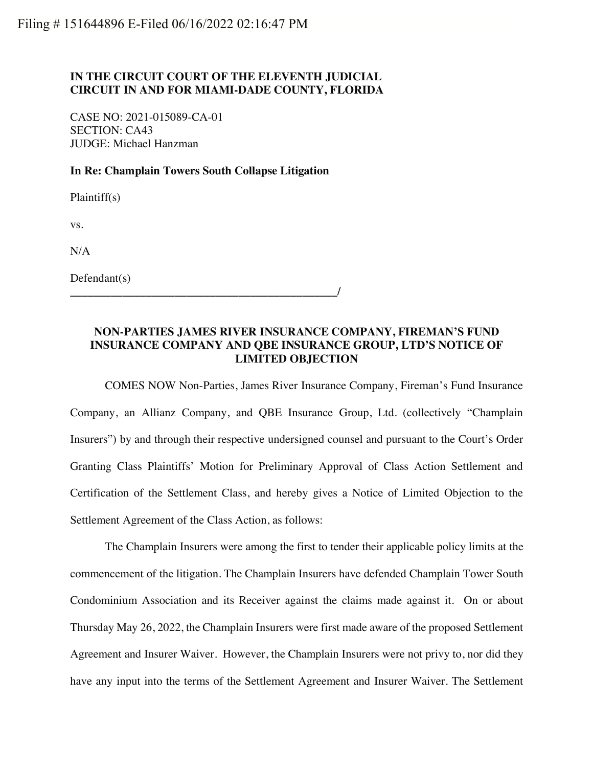## **IN THE CIRCUIT COURT OF THE ELEVENTH JUDICIAL CIRCUIT IN AND FOR MIAMI-DADE COUNTY, FLORIDA**

CASE NO: 2021-015089-CA-01 SECTION: CA43 JUDGE: Michael Hanzman

## **In Re: Champlain Towers South Collapse Litigation**

**\_\_\_\_\_\_\_\_\_\_\_\_\_\_\_\_\_\_\_\_\_\_\_\_\_\_\_\_\_\_\_\_\_\_\_\_\_\_\_\_\_\_\_\_\_\_/**

Plaintiff(s)

vs.

N/A

Defendant(s)

## **NON-PARTIES JAMES RIVER INSURANCE COMPANY, FIREMAN'S FUND INSURANCE COMPANY AND QBE INSURANCE GROUP, LTD'S NOTICE OF LIMITED OBJECTION**

COMES NOW Non-Parties, James River Insurance Company, Fireman's Fund Insurance Company, an Allianz Company, and QBE Insurance Group, Ltd. (collectively "Champlain Insurers") by and through their respective undersigned counsel and pursuant to the Court's Order Granting Class Plaintiffs' Motion for Preliminary Approval of Class Action Settlement and Certification of the Settlement Class, and hereby gives a Notice of Limited Objection to the Settlement Agreement of the Class Action, as follows:

The Champlain Insurers were among the first to tender their applicable policy limits at the commencement of the litigation. The Champlain Insurers have defended Champlain Tower South Condominium Association and its Receiver against the claims made against it. On or about Thursday May 26, 2022, the Champlain Insurers were first made aware of the proposed Settlement Agreement and Insurer Waiver. However, the Champlain Insurers were not privy to, nor did they have any input into the terms of the Settlement Agreement and Insurer Waiver. The Settlement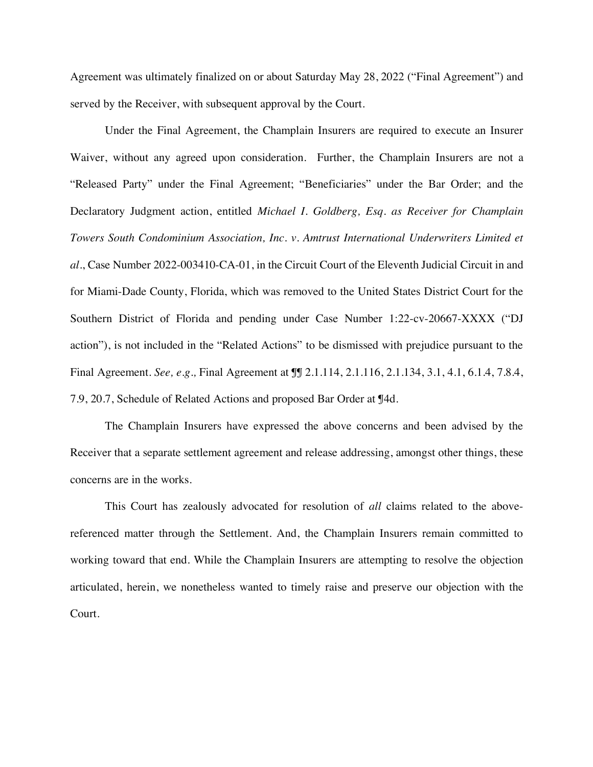Agreement was ultimately finalized on or about Saturday May 28, 2022 ("Final Agreement") and served by the Receiver, with subsequent approval by the Court.

Under the Final Agreement, the Champlain Insurers are required to execute an Insurer Waiver, without any agreed upon consideration. Further, the Champlain Insurers are not a "Released Party" under the Final Agreement; "Beneficiaries" under the Bar Order; and the Declaratory Judgment action, entitled *Michael I. Goldberg, Esq. as Receiver for Champlain Towers South Condominium Association, Inc. v. Amtrust International Underwriters Limited et al*., Case Number 2022-003410-CA-01, in the Circuit Court of the Eleventh Judicial Circuit in and for Miami-Dade County, Florida, which was removed to the United States District Court for the Southern District of Florida and pending under Case Number 1:22-cv-20667-XXXX ("DJ action"), is not included in the "Related Actions" to be dismissed with prejudice pursuant to the Final Agreement. *See, e.g.,* Final Agreement at ¶¶ 2.1.114, 2.1.116, 2.1.134, 3.1, 4.1, 6.1.4, 7.8.4, 7.9, 20.7, Schedule of Related Actions and proposed Bar Order at ¶4d.

The Champlain Insurers have expressed the above concerns and been advised by the Receiver that a separate settlement agreement and release addressing, amongst other things, these concerns are in the works.

This Court has zealously advocated for resolution of *all* claims related to the abovereferenced matter through the Settlement. And, the Champlain Insurers remain committed to working toward that end. While the Champlain Insurers are attempting to resolve the objection articulated, herein, we nonetheless wanted to timely raise and preserve our objection with the Court.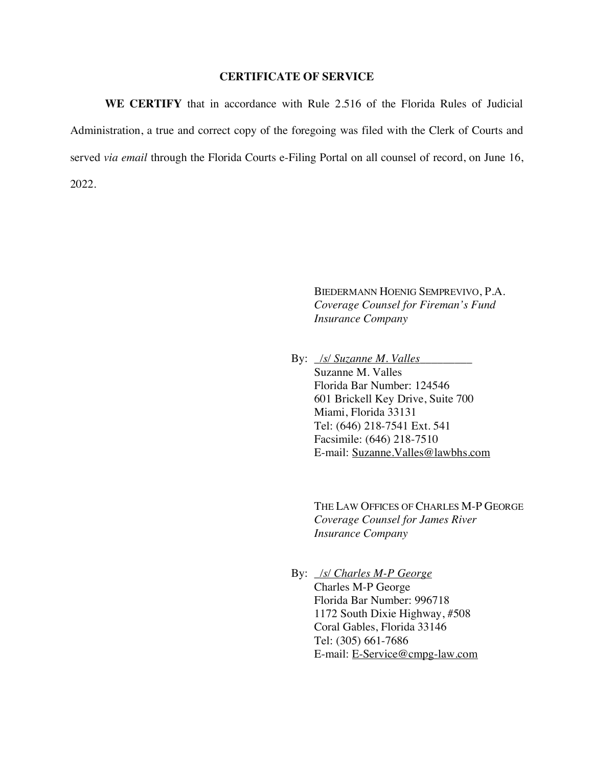## **CERTIFICATE OF SERVICE**

**WE CERTIFY** that in accordance with Rule 2.516 of the Florida Rules of Judicial Administration, a true and correct copy of the foregoing was filed with the Clerk of Courts and served *via email* through the Florida Courts e-Filing Portal on all counsel of record, on June 16, 2022.

> BIEDERMANN HOENIG SEMPREVIVO, P.A. *Coverage Counsel for Fireman's Fund Insurance Company*

By: *\_/s/ Suzanne M. Valles* Suzanne M. Valles Florida Bar Number: 124546 601 Brickell Key Drive, Suite 700 Miami, Florida 33131 Tel: (646) 218-7541 Ext. 541 Facsimile: (646) 218-7510 E-mail: Suzanne.Valles@lawbhs.com

> THE LAW OFFICES OF CHARLES M-P GEORGE *Coverage Counsel for James River Insurance Company*

 By: *\_/s/ Charles M-P George* Charles M-P George Florida Bar Number: 996718 1172 South Dixie Highway, #508 Coral Gables, Florida 33146 Tel: (305) 661-7686 E-mail: E-Service@cmpg-law.com